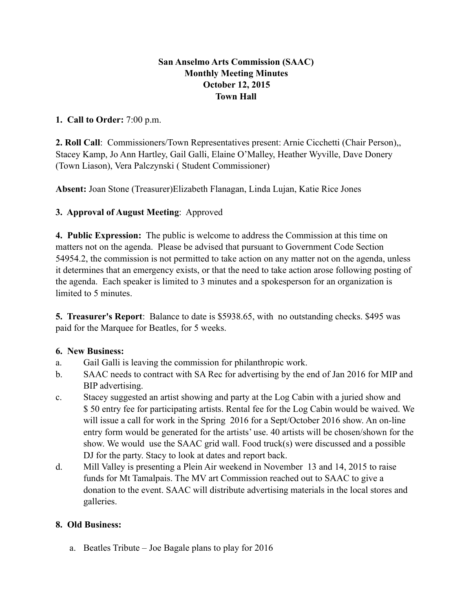# **San Anselmo Arts Commission (SAAC) Monthly Meeting Minutes October 12, 2015 Town Hall**

#### **1. Call to Order:** 7:00 p.m.

**2. Roll Call**: Commissioners/Town Representatives present: Arnie Cicchetti (Chair Person),, Stacey Kamp, Jo Ann Hartley, Gail Galli, Elaine O'Malley, Heather Wyville, Dave Donery (Town Liason), Vera Palczynski ( Student Commissioner)

**Absent:** Joan Stone (Treasurer)Elizabeth Flanagan, Linda Lujan, Katie Rice Jones

# **3. Approval of August Meeting**: Approved

**4. Public Expression:** The public is welcome to address the Commission at this time on matters not on the agenda. Please be advised that pursuant to Government Code Section 54954.2, the commission is not permitted to take action on any matter not on the agenda, unless it determines that an emergency exists, or that the need to take action arose following posting of the agenda. Each speaker is limited to 3 minutes and a spokesperson for an organization is limited to 5 minutes.

**5. Treasurer's Report**: Balance to date is \$5938.65, with no outstanding checks. \$495 was paid for the Marquee for Beatles, for 5 weeks.

# **6. New Business:**

- a. Gail Galli is leaving the commission for philanthropic work.
- b. SAAC needs to contract with SA Rec for advertising by the end of Jan 2016 for MIP and BIP advertising.
- c. Stacey suggested an artist showing and party at the Log Cabin with a juried show and \$ 50 entry fee for participating artists. Rental fee for the Log Cabin would be waived. We will issue a call for work in the Spring 2016 for a Sept/October 2016 show. An on-line entry form would be generated for the artists' use. 40 artists will be chosen/shown for the show. We would use the SAAC grid wall. Food truck(s) were discussed and a possible DJ for the party. Stacy to look at dates and report back.
- d. Mill Valley is presenting a Plein Air weekend in November 13 and 14, 2015 to raise funds for Mt Tamalpais. The MV art Commission reached out to SAAC to give a donation to the event. SAAC will distribute advertising materials in the local stores and galleries.

# **8. Old Business:**

a. Beatles Tribute – Joe Bagale plans to play for 2016